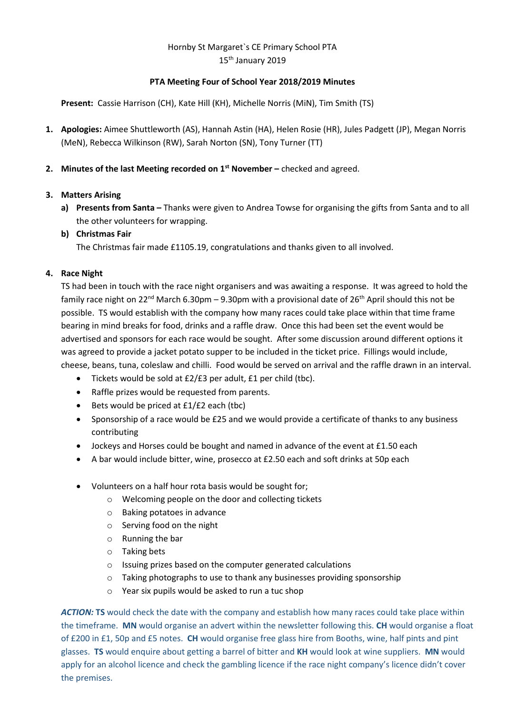# Hornby St Margaret`s CE Primary School PTA 15<sup>th</sup> January 2019

### **PTA Meeting Four of School Year 2018/2019 Minutes**

**Present:** Cassie Harrison (CH), Kate Hill (KH), Michelle Norris (MiN), Tim Smith (TS)

- **1. Apologies:** Aimee Shuttleworth (AS), Hannah Astin (HA), Helen Rosie (HR), Jules Padgett (JP), Megan Norris (MeN), Rebecca Wilkinson (RW), Sarah Norton (SN), Tony Turner (TT)
- **2. Minutes of the last Meeting recorded on 1 st November –** checked and agreed.

# **3. Matters Arising**

**a) Presents from Santa –** Thanks were given to Andrea Towse for organising the gifts from Santa and to all the other volunteers for wrapping.

### **b) Christmas Fair**

The Christmas fair made £1105.19, congratulations and thanks given to all involved.

# **4. Race Night**

TS had been in touch with the race night organisers and was awaiting a response. It was agreed to hold the family race night on 22<sup>nd</sup> March 6.30pm – 9.30pm with a provisional date of 26<sup>th</sup> April should this not be possible. TS would establish with the company how many races could take place within that time frame bearing in mind breaks for food, drinks and a raffle draw. Once this had been set the event would be advertised and sponsors for each race would be sought. After some discussion around different options it was agreed to provide a jacket potato supper to be included in the ticket price. Fillings would include, cheese, beans, tuna, coleslaw and chilli. Food would be served on arrival and the raffle drawn in an interval.

- Tickets would be sold at £2/£3 per adult, £1 per child (tbc).
- Raffle prizes would be requested from parents.
- Bets would be priced at £1/£2 each (tbc)
- Sponsorship of a race would be £25 and we would provide a certificate of thanks to any business contributing
- Jockeys and Horses could be bought and named in advance of the event at £1.50 each
- A bar would include bitter, wine, prosecco at £2.50 each and soft drinks at 50p each
- Volunteers on a half hour rota basis would be sought for;
	- o Welcoming people on the door and collecting tickets
	- o Baking potatoes in advance
	- o Serving food on the night
	- o Running the bar
	- o Taking bets
	- o Issuing prizes based on the computer generated calculations
	- o Taking photographs to use to thank any businesses providing sponsorship
	- o Year six pupils would be asked to run a tuc shop

*ACTION:* **TS** would check the date with the company and establish how many races could take place within the timeframe. **MN** would organise an advert within the newsletter following this. **CH** would organise a float of £200 in £1, 50p and £5 notes. **CH** would organise free glass hire from Booths, wine, half pints and pint glasses. **TS** would enquire about getting a barrel of bitter and **KH** would look at wine suppliers. **MN** would apply for an alcohol licence and check the gambling licence if the race night company's licence didn't cover the premises.